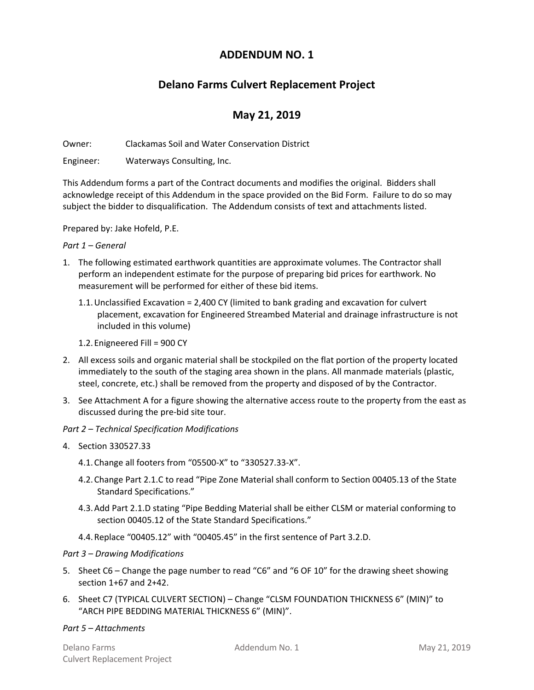## **ADDENDUM NO. 1**

# **Delano Farms Culvert Replacement Project**

# **May 21, 2019**

Owner: Clackamas Soil and Water Conservation District

Engineer: Waterways Consulting, Inc.

This Addendum forms a part of the Contract documents and modifies the original. Bidders shall acknowledge receipt of this Addendum in the space provided on the Bid Form. Failure to do so may subject the bidder to disqualification. The Addendum consists of text and attachments listed.

Prepared by: Jake Hofeld, P.E.

#### *Part 1 – General*

- 1. The following estimated earthwork quantities are approximate volumes. The Contractor shall perform an independent estimate for the purpose of preparing bid prices for earthwork. No measurement will be performed for either of these bid items.
	- 1.1.Unclassified Excavation = 2,400 CY (limited to bank grading and excavation for culvert placement, excavation for Engineered Streambed Material and drainage infrastructure is not included in this volume)
	- 1.2.Enigneered Fill = 900 CY
- 2. All excess soils and organic material shall be stockpiled on the flat portion of the property located immediately to the south of the staging area shown in the plans. All manmade materials (plastic, steel, concrete, etc.) shall be removed from the property and disposed of by the Contractor.
- 3. See Attachment A for a figure showing the alternative access route to the property from the east as discussed during the pre‐bid site tour.

### *Part 2 – Technical Specification Modifications*

- 4. Section 330527.33
	- 4.1.Change all footers from "05500‐X" to "330527.33‐X".
	- 4.2.Change Part 2.1.C to read "Pipe Zone Material shall conform to Section 00405.13 of the State Standard Specifications."
	- 4.3.Add Part 2.1.D stating "Pipe Bedding Material shall be either CLSM or material conforming to section 00405.12 of the State Standard Specifications."
	- 4.4.Replace "00405.12" with "00405.45" in the first sentence of Part 3.2.D.

### *Part 3 – Drawing Modifications*

- 5. Sheet C6 Change the page number to read "C6" and "6 OF 10" for the drawing sheet showing section 1+67 and 2+42.
- 6. Sheet C7 (TYPICAL CULVERT SECTION) Change "CLSM FOUNDATION THICKNESS 6" (MIN)" to "ARCH PIPE BEDDING MATERIAL THICKNESS 6" (MIN)".

#### *Part 5 – Attachments*